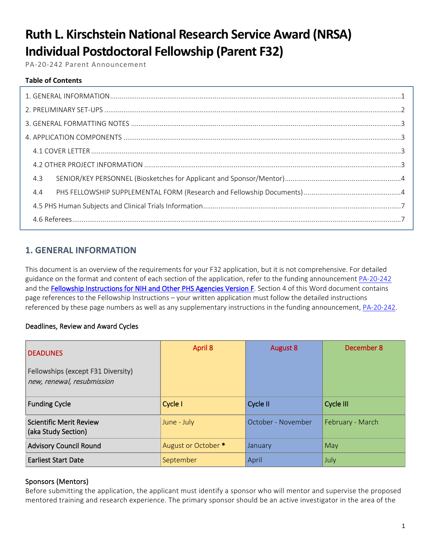# **Ruth L. Kirschstein National Research Service Award (NRSA) Individual Postdoctoral Fellowship (Parent F32)**

PA-20-242 Parent Announcement

# **Table of Contents**

| 4.3 |  |
|-----|--|
| 4.4 |  |
|     |  |
|     |  |

# <span id="page-0-0"></span>**1. GENERAL INFORMATION**

This document is an overview of the requirements for your F32 application, but it is not comprehensive. For detailed guidance on the format and content of each section of the application, refer to the funding announcement [PA-20-242](https://grants.nih.gov/grants/guide/pa-files/PA-20-242.html) and the [Fellowship Instructions for NIH and Other PHS Agencies Version F.](https://grants.nih.gov/grants/how-to-apply-application-guide/forms-f/fellowship-forms-f.pdf) Section 4 of this Word document contains page references to the Fellowship Instructions – your written application must follow the detailed instructions referenced by these page numbers as well as any supplementary instructions in the funding announcement, [PA-20-242.](https://grants.nih.gov/grants/guide/pa-files/PA-20-242.html)

## Deadlines, Review and Award Cycles

| <b>DEADLINES</b>                                                 | April 8             | August 8           | December 8       |
|------------------------------------------------------------------|---------------------|--------------------|------------------|
| Fellowships (except F31 Diversity)<br>new, renewal, resubmission |                     |                    |                  |
| <b>Funding Cycle</b>                                             | Cycle I             | Cycle II           | Cycle III        |
| <b>Scientific Merit Review</b><br>(aka Study Section)            | June - July         | October - November | February - March |
| <b>Advisory Council Round</b>                                    | August or October * | January            | May              |
| <b>Earliest Start Date</b>                                       | September           | April              | July             |

## Sponsors (Mentors)

Before submitting the application, the applicant must identify a sponsor who will mentor and supervise the proposed mentored training and research experience. The primary sponsor should be an active investigator in the area of the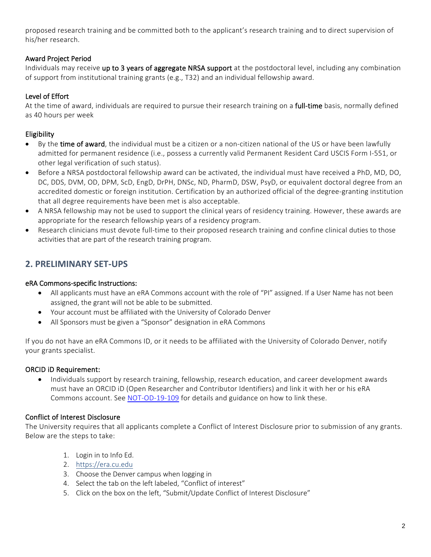proposed research training and be committed both to the applicant's research training and to direct supervision of his/her research.

# Award Project Period

Individuals may receive up to 3 years of aggregate NRSA support at the postdoctoral level, including any combination of support from institutional training grants (e.g., T32) and an individual fellowship award.

# Level of Effort

At the time of award, individuals are required to pursue their research training on a full-time basis, normally defined as 40 hours per week

# Eligibility

- By the time of award, the individual must be a citizen or a non-citizen national of the US or have been lawfully admitted for permanent residence (i.e., possess a currently valid Permanent Resident Card USCIS Form I-551, or other legal verification of such status).
- Before a NRSA postdoctoral fellowship award can be activated, the individual must have received a PhD, MD, DO, DC, DDS, DVM, OD, DPM, ScD, EngD, DrPH, DNSc, ND, PharmD, DSW, PsyD, or equivalent doctoral degree from an accredited domestic or foreign institution. Certification by an authorized official of the degree-granting institution that all degree requirements have been met is also acceptable.
- A NRSA fellowship may not be used to support the clinical years of residency training. However, these awards are appropriate for the research fellowship years of a residency program.
- Research clinicians must devote full-time to their proposed research training and confine clinical duties to those activities that are part of the research training program.

# <span id="page-1-0"></span>**2. PRELIMINARY SET-UPS**

# eRA Commons-specific Instructions:

- All applicants must have an eRA Commons account with the role of "PI" assigned. If a User Name has not been assigned, the grant will not be able to be submitted.
- Your account must be affiliated with the University of Colorado Denver
- All Sponsors must be given a "Sponsor" designation in eRA Commons

If you do not have an eRA Commons ID, or it needs to be affiliated with the University of Colorado Denver, notify your grants specialist.

# ORCID iD Requirement:

• Individuals support by research training, fellowship, research education, and career development awards must have an ORCID iD (Open Researcher and Contributor Identifiers) and link it with her or his eRA Commons account. See [NOT-OD-19-109](https://grants.nih.gov/grants/guide/notice-files/NOT-OD-19-109.html) for details and guidance on how to link these.

# Conflict of Interest Disclosure

The University requires that all applicants complete a Conflict of Interest Disclosure prior to submission of any grants. Below are the steps to take:

- 1. Login in to Info Ed.
- 2. [https://era.cu.edu](https://era.cu.edu/)
- 3. Choose the Denver campus when logging in
- 4. Select the tab on the left labeled, "Conflict of interest"
- 5. Click on the box on the left, "Submit/Update Conflict of Interest Disclosure"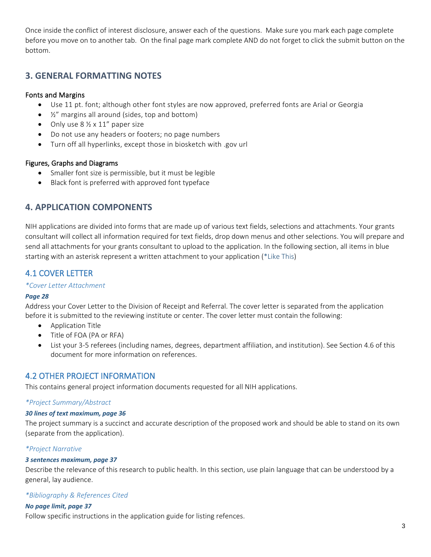Once inside the conflict of interest disclosure, answer each of the questions. Make sure you mark each page complete before you move on to another tab. On the final page mark complete AND do not forget to click the submit button on the bottom.

# <span id="page-2-0"></span>**3. GENERAL FORMATTING NOTES**

# Fonts and Margins

- Use 11 pt. font; although other font styles are now approved, preferred fonts are Arial or Georgia
- $\bullet$   $\frac{1}{2}$ " margins all around (sides, top and bottom)
- Only use  $8\frac{1}{2} \times 11''$  paper size
- Do not use any headers or footers; no page numbers
- Turn off all hyperlinks, except those in biosketch with .gov url

## Figures, Graphs and Diagrams

- Smaller font size is permissible, but it must be legible
- Black font is preferred with approved font typeface

# <span id="page-2-1"></span>**4. APPLICATION COMPONENTS**

NIH applications are divided into forms that are made up of various text fields, selections and attachments. Your grants consultant will collect all information required for text fields, drop down menus and other selections. You will prepare and send all attachments for your grants consultant to upload to the application. In the following section, all items in blue starting with an asterisk represent a written attachment to your application (\*Like This)

# <span id="page-2-2"></span>4.1 COVER LETTER

### *\*Cover Letter Attachment*

### *Page 28*

Address your Cover Letter to the Division of Receipt and Referral. The cover letter is separated from the application before it is submitted to the reviewing institute or center. The cover letter must contain the following:

- Application Title
- Title of FOA (PA or RFA)
- List your 3-5 referees (including names, degrees, department affiliation, and institution). See Section 4.6 of this document for more information on references.

# <span id="page-2-3"></span>4.2 OTHER PROJECT INFORMATION

This contains general project information documents requested for all NIH applications.

### *\*Project Summary/Abstract*

### *30 lines of text maximum, page 36*

The project summary is a succinct and accurate description of the proposed work and should be able to stand on its own (separate from the application).

## *\*Project Narrative*

### *3 sentences maximum, page 37*

Describe the relevance of this research to public health. In this section, use plain language that can be understood by a general, lay audience.

### *\*Bibliography & References Cited*

### *No page limit, page 37*

Follow specific instructions in the application guide for listing refences.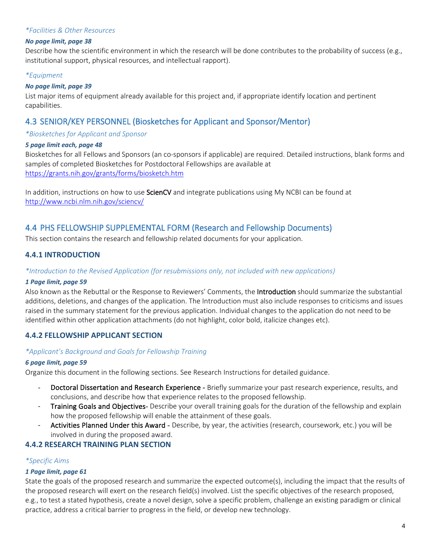#### *\*Facilities & Other Resources*

#### *No page limit, page 38*

Describe how the scientific environment in which the research will be done contributes to the probability of success (e.g., institutional support, physical resources, and intellectual rapport).

### *\*Equipment*

#### *No page limit, page 39*

List major items of equipment already available for this project and, if appropriate identify location and pertinent capabilities.

# <span id="page-3-0"></span>4.3 SENIOR/KEY PERSONNEL (Biosketches for Applicant and Sponsor/Mentor)

#### *\*Biosketches for Applicant and Sponsor*

#### *5 page limit each, page 48*

Biosketches for all Fellows and Sponsors (an co-sponsors if applicable) are required. Detailed instructions, blank forms and samples of completed Biosketches for Postdoctoral Fellowships are available at <https://grants.nih.gov/grants/forms/biosketch.htm>

In addition, instructions on how to use ScienCV and integrate publications using My NCBI can be found at <http://www.ncbi.nlm.nih.gov/sciencv/>

# <span id="page-3-1"></span>4.4 PHS FELLOWSHIP SUPPLEMENTAL FORM (Research and Fellowship Documents)

This section contains the research and fellowship related documents for your application.

## **4.4.1 INTRODUCTION**

#### *\*Introduction to the Revised Application (for resubmissions only, not included with new applications)*

#### *1 Page limit, page 59*

Also known as the Rebuttal or the Response to Reviewers' Comments, the Introduction should summarize the substantial additions, deletions, and changes of the application. The Introduction must also include responses to criticisms and issues raised in the summary statement for the previous application. Individual changes to the application do not need to be identified within other application attachments (do not highlight, color bold, italicize changes etc).

### **4.4.2 FELLOWSHIP APPLICANT SECTION**

### *\*Applicant's Background and Goals for Fellowship Training*

#### *6 page limit, page 59*

Organize this document in the following sections. See Research Instructions for detailed guidance.

- Doctoral Dissertation and Research Experience Briefly summarize your past research experience, results, and conclusions, and describe how that experience relates to the proposed fellowship.
- Training Goals and Objectives- Describe your overall training goals for the duration of the fellowship and explain how the proposed fellowship will enable the attainment of these goals.
- Activities Planned Under this Award Describe, by year, the activities (research, coursework, etc.) you will be involved in during the proposed award.

### **4.4.2 RESEARCH TRAINING PLAN SECTION**

### *\*Specific Aims*

### *1 Page limit, page 61*

State the goals of the proposed research and summarize the expected outcome(s), including the impact that the results of the proposed research will exert on the research field(s) involved. List the specific objectives of the research proposed, e.g., to test a stated hypothesis, create a novel design, solve a specific problem, challenge an existing paradigm or clinical practice, address a critical barrier to progress in the field, or develop new technology.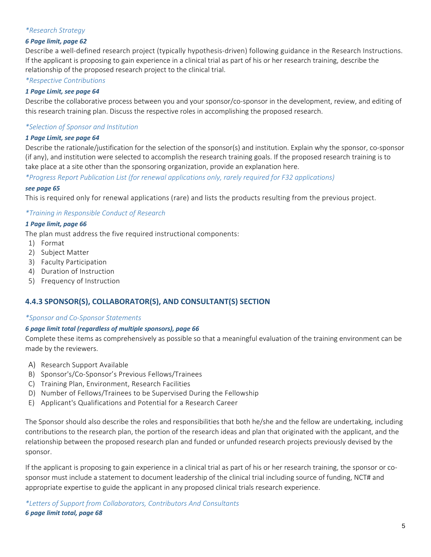# *\*Research Strategy*

### *6 Page limit, page 62*

Describe a well-defined research project (typically hypothesis-driven) following guidance in the Research Instructions. If the applicant is proposing to gain experience in a clinical trial as part of his or her research training, describe the relationship of the proposed research project to the clinical trial.

*\*Respective Contributions*

### *1 Page Limit, see page 64*

Describe the collaborative process between you and your sponsor/co-sponsor in the development, review, and editing of this research training plan. Discuss the respective roles in accomplishing the proposed research.

### *\*Selection of Sponsor and Institution*

### *1 Page Limit, see page 64*

Describe the rationale/justification for the selection of the sponsor(s) and institution. Explain why the sponsor, co-sponsor (if any), and institution were selected to accomplish the research training goals. If the proposed research training is to take place at a site other than the sponsoring organization, provide an explanation here.

*\*Progress Report Publication List (for renewal applications only, rarely required for F32 applications)*

#### *see page 65*

This is required only for renewal applications (rare) and lists the products resulting from the previous project.

### *\*Training in Responsible Conduct of Research*

### *1 Page limit, page 66*

The plan must address the five required instructional components:

- 1) Format
- 2) Subject Matter
- 3) Faculty Participation
- 4) Duration of Instruction
- 5) Frequency of Instruction

## **4.4.3 SPONSOR(S), COLLABORATOR(S), AND CONSULTANT(S) SECTION**

### *\*Sponsor and Co-Sponsor Statements*

### *6 page limit total (regardless of multiple sponsors), page 66*

Complete these items as comprehensively as possible so that a meaningful evaluation of the training environment can be made by the reviewers.

- A) Research Support Available
- B) Sponsor's/Co-Sponsor's Previous Fellows/Trainees
- C) Training Plan, Environment, Research Facilities
- D) Number of Fellows/Trainees to be Supervised During the Fellowship
- E) Applicant's Qualifications and Potential for a Research Career

The Sponsor should also describe the roles and responsibilities that both he/she and the fellow are undertaking, including contributions to the research plan, the portion of the research ideas and plan that originated with the applicant, and the relationship between the proposed research plan and funded or unfunded research projects previously devised by the sponsor.

If the applicant is proposing to gain experience in a clinical trial as part of his or her research training, the sponsor or cosponsor must include a statement to document leadership of the clinical trial including source of funding, NCT# and appropriate expertise to guide the applicant in any proposed clinical trials research experience.

*\*Letters of Support from Collaborators, Contributors And Consultants 6 page limit total, page 68*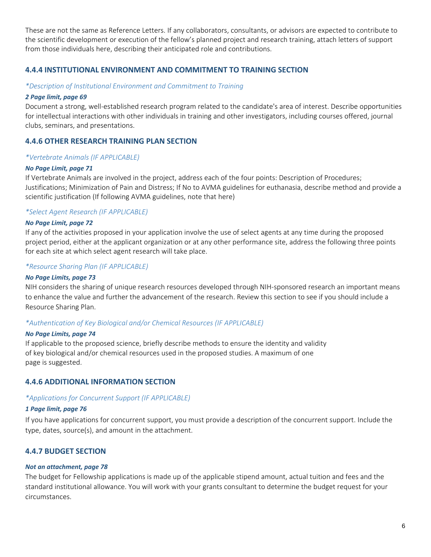These are not the same as Reference Letters. If any collaborators, consultants, or advisors are expected to contribute to the scientific development or execution of the fellow's planned project and research training, attach letters of support from those individuals here, describing their anticipated role and contributions.

## **4.4.4 INSTITUTIONAL ENVIRONMENT AND COMMITMENT TO TRAINING SECTION**

#### *\*Description of Institutional Environment and Commitment to Training*

#### *2 Page limit, page 69*

Document a strong, well-established research program related to the candidate's area of interest. Describe opportunities for intellectual interactions with other individuals in training and other investigators, including courses offered, journal clubs, seminars, and presentations.

#### **4.4.6 OTHER RESEARCH TRAINING PLAN SECTION**

#### *\*Vertebrate Animals (IF APPLICABLE)*

#### *No Page Limit, page 71*

If Vertebrate Animals are involved in the project, address each of the four points: Description of Procedures; Justifications; Minimization of Pain and Distress; If No to AVMA guidelines for euthanasia, describe method and provide a scientific justification (If following AVMA guidelines, note that here)

#### *\*Select Agent Research (IF APPLICABLE)*

#### *No Page Limit, page 72*

If any of the activities proposed in your application involve the use of select agents at any time during the proposed project period, either at the applicant organization or at any other performance site, address the following three points for each site at which select agent research will take place.

#### *\*Resource Sharing Plan (IF APPLICABLE)*

#### *No Page Limits, page 73*

NIH considers the sharing of unique research resources developed through NIH-sponsored research an important means to enhance the value and further the advancement of the research. Review this section to see if you should include a Resource Sharing Plan.

#### *\*Authentication of Key Biological and/or Chemical Resources (IF APPLICABLE)*

#### *No Page Limits, page 74*

If applicable to the proposed science, briefly describe methods to ensure the identity and validity of key biological and/or chemical resources used in the proposed studies. A maximum of one page is suggested.

### **4.4.6 ADDITIONAL INFORMATION SECTION**

#### *\*Applications for Concurrent Support (IF APPLICABLE)*

#### *1 Page limit, page 76*

If you have applications for concurrent support, you must provide a description of the concurrent support. Include the type, dates, source(s), and amount in the attachment.

#### **4.4.7 BUDGET SECTION**

#### *Not an attachment, page 78*

The budget for Fellowship applications is made up of the applicable stipend amount, actual tuition and fees and the standard institutional allowance. You will work with your grants consultant to determine the budget request for your circumstances.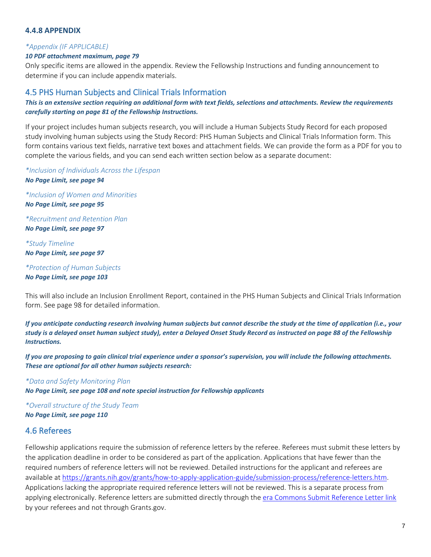### **4.4.8 APPENDIX**

#### *\*Appendix (IF APPLICABLE)*

#### *10 PDF attachment maximum, page 79*

Only specific items are allowed in the appendix. Review the Fellowship Instructions and funding announcement to determine if you can include appendix materials.

### <span id="page-6-0"></span>4.5 PHS Human Subjects and Clinical Trials Information

#### *This is an extensive section requiring an additional form with text fields, selections and attachments. Review the requirements carefully starting on page 81 of the Fellowship Instructions.*

If your project includes human subjects research, you will include a Human Subjects Study Record for each proposed study involving human subjects using the Study Record: PHS Human Subjects and Clinical Trials Information form. This form contains various text fields, narrative text boxes and attachment fields. We can provide the form as a PDF for you to complete the various fields, and you can send each written section below as a separate document:

*\*Inclusion of Individuals Across the Lifespan*

*No Page Limit, see page 94*

*\*Inclusion of Women and Minorities No Page Limit, see page 95*

*\*Recruitment and Retention Plan No Page Limit, see page 97*

*\*Study Timeline No Page Limit, see page 97*

*\*Protection of Human Subjects No Page Limit, see page 103*

This will also include an Inclusion Enrollment Report, contained in the PHS Human Subjects and Clinical Trials Information form. See page 98 for detailed information.

*If you anticipate conducting research involving human subjects but cannot describe the study at the time of application (i.e., your study is a delayed onset human subject study), enter a Delayed Onset Study Record as instructed on page 88 of the Fellowship Instructions.*

*If you are proposing to gain clinical trial experience under a sponsor's supervision, you will include the following attachments. These are optional for all other human subjects research:*

*\*Data and Safety Monitoring Plan No Page Limit, see page 108 and note special instruction for Fellowship applicants*

*\*Overall structure of the Study Team No Page Limit, see page 110*

# <span id="page-6-1"></span>4.6 Referees

Fellowship applications require the submission of reference letters by the referee. Referees must submit these letters by the application deadline in order to be considered as part of the application. Applications that have fewer than the required numbers of reference letters will not be reviewed. Detailed instructions for the applicant and referees are available a[t https://grants.nih.gov/grants/how-to-apply-application-guide/submission-process/reference-letters.htm.](https://grants.nih.gov/grants/how-to-apply-application-guide/submission-process/reference-letters.htm) Applications lacking the appropriate required reference letters will not be reviewed. This is a separate process from applying electronically. Reference letters are submitted directly through the era [Commons Submit Reference Letter link](https://public.era.nih.gov/commons/public/reference/submitReferenceLetter.do?mode=new) by your referees and not through Grants.gov.